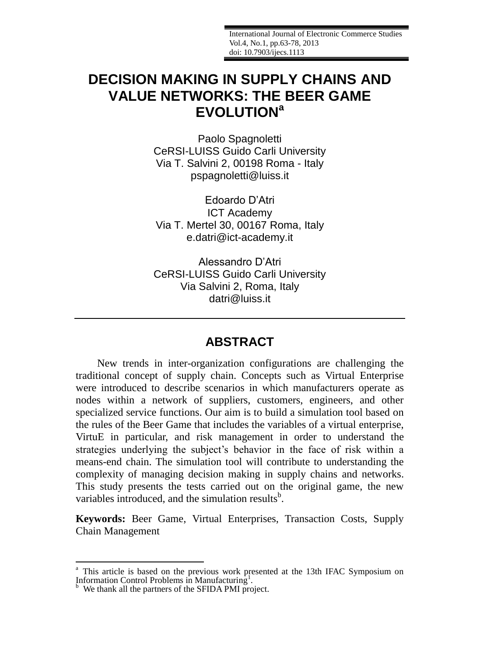International Journal of Electronic Commerce Studies Vol.4, No.1, pp.63-78, 2013 doi: 10.7903/ijecs.1113

# **DECISION MAKING IN SUPPLY CHAINS AND VALUE NETWORKS: THE BEER GAME EVOLUTION<sup>a</sup>**

Paolo Spagnoletti CeRSI-LUISS Guido Carli University Via T. Salvini 2, 00198 Roma - Italy pspagnoletti@luiss.it

Edoardo D'Atri ICT Academy Via T. Mertel 30, 00167 Roma, Italy e.datri@ict-academy.it

Alessandro D'Atri CeRSI-LUISS Guido Carli University Via Salvini 2, Roma, Italy datri@luiss.it

## **ABSTRACT**

New trends in inter-organization configurations are challenging the traditional concept of supply chain. Concepts such as Virtual Enterprise were introduced to describe scenarios in which manufacturers operate as nodes within a network of suppliers, customers, engineers, and other specialized service functions. Our aim is to build a simulation tool based on the rules of the Beer Game that includes the variables of a virtual enterprise, VirtuE in particular, and risk management in order to understand the strategies underlying the subject's behavior in the face of risk within a means-end chain. The simulation tool will contribute to understanding the complexity of managing decision making in supply chains and networks. This study presents the tests carried out on the original game, the new variables introduced, and the simulation results $<sup>b</sup>$ .</sup>

**Keywords:** Beer Game, Virtual Enterprises, Transaction Costs, Supply Chain Management

1

<sup>&</sup>lt;sup>a</sup> This article is based on the previous work presented at the 13th IFAC Symposium on Information Control Problems in Manufacturing<sup>1</sup>.

We thank all the partners of the SFIDA PMI project.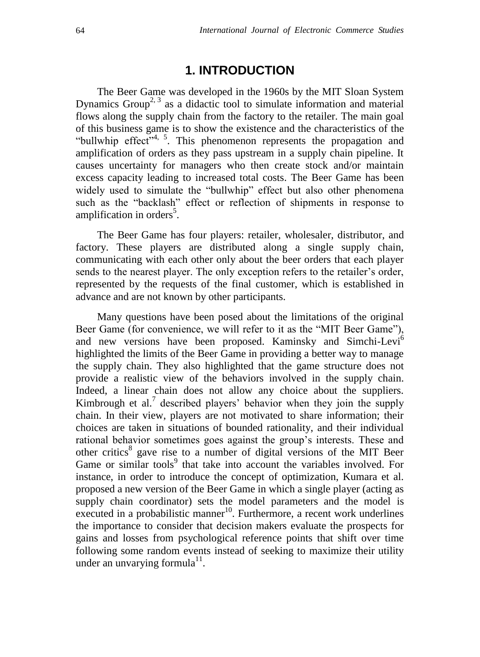## **1. INTRODUCTION**

The Beer Game was developed in the 1960s by the MIT Sloan System Dynamics Group<sup>2, 3</sup> as a didactic tool to simulate information and material flows along the supply chain from the factory to the retailer. The main goal of this business game is to show the existence and the characteristics of the "bullwhip effect"<sup>4, 5</sup>. This phenomenon represents the propagation and amplification of orders as they pass upstream in a supply chain pipeline. It causes uncertainty for managers who then create stock and/or maintain excess capacity leading to increased total costs. The Beer Game has been widely used to simulate the "bullwhip" effect but also other phenomena such as the "backlash" effect or reflection of shipments in response to amplification in orders<sup>5</sup>.

The Beer Game has four players: retailer, wholesaler, distributor, and factory. These players are distributed along a single supply chain, communicating with each other only about the beer orders that each player sends to the nearest player. The only exception refers to the retailer's order, represented by the requests of the final customer, which is established in advance and are not known by other participants.

Many questions have been posed about the limitations of the original Beer Game (for convenience, we will refer to it as the "MIT Beer Game"), and new versions have been proposed. Kaminsky and Simchi-Levi<sup>6</sup> highlighted the limits of the Beer Game in providing a better way to manage the supply chain. They also highlighted that the game structure does not provide a realistic view of the behaviors involved in the supply chain. Indeed, a linear chain does not allow any choice about the suppliers. Kimbrough et al.<sup>7</sup> described players' behavior when they join the supply chain. In their view, players are not motivated to share information; their choices are taken in situations of bounded rationality, and their individual rational behavior sometimes goes against the group's interests. These and other critics<sup>8</sup> gave rise to a number of digital versions of the MIT Beer Game or similar tools<sup>9</sup> that take into account the variables involved. For instance, in order to introduce the concept of optimization, Kumara et al. proposed a new version of the Beer Game in which a single player (acting as supply chain coordinator) sets the model parameters and the model is  $\frac{1}{2}$  executed in a probabilistic manner<sup>10</sup>. Furthermore, a recent work underlines the importance to consider that decision makers evaluate the prospects for gains and losses from psychological reference points that shift over time following some random events instead of seeking to maximize their utility under an unvarying formula $^{11}$ .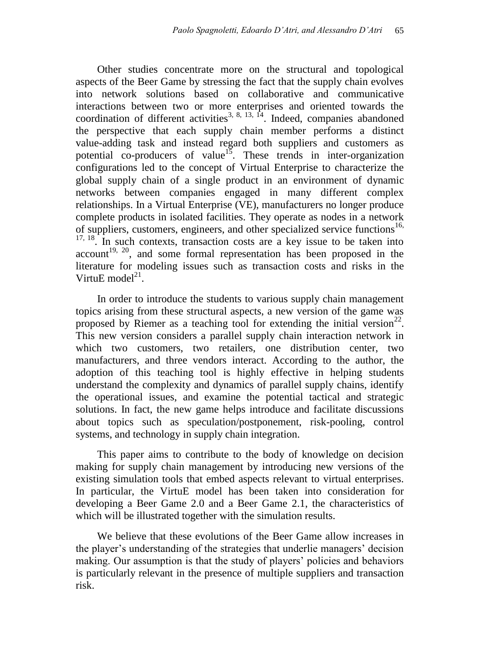Other studies concentrate more on the structural and topological aspects of the Beer Game by stressing the fact that the supply chain evolves into network solutions based on collaborative and communicative interactions between two or more enterprises and oriented towards the coordination of different activities<sup>3, 8, 13,  $\dot{1}^4$ . Indeed, companies abandoned</sup> the perspective that each supply chain member performs a distinct value-adding task and instead regard both suppliers and customers as potential co-producers of value<sup>15</sup>. These trends in inter-organization configurations led to the concept of Virtual Enterprise to characterize the global supply chain of a single product in an environment of dynamic networks between companies engaged in many different complex relationships. In a Virtual Enterprise (VE), manufacturers no longer produce complete products in isolated facilities. They operate as nodes in a network of suppliers, customers, engineers, and other specialized service functions<sup>16,</sup>  $17, 18$ . In such contexts, transaction costs are a key issue to be taken into  $account<sup>19, 20</sup>$ , and some formal representation has been proposed in the literature for modeling issues such as transaction costs and risks in the VirtuE model $^{21}$ .

In order to introduce the students to various supply chain management topics arising from these structural aspects, a new version of the game was proposed by Riemer as a teaching tool for extending the initial version<sup>22</sup>. This new version considers a parallel supply chain interaction network in which two customers, two retailers, one distribution center, two manufacturers, and three vendors interact. According to the author, the adoption of this teaching tool is highly effective in helping students understand the complexity and dynamics of parallel supply chains, identify the operational issues, and examine the potential tactical and strategic solutions. In fact, the new game helps introduce and facilitate discussions about topics such as speculation/postponement, risk-pooling, control systems, and technology in supply chain integration.

This paper aims to contribute to the body of knowledge on decision making for supply chain management by introducing new versions of the existing simulation tools that embed aspects relevant to virtual enterprises. In particular, the VirtuE model has been taken into consideration for developing a Beer Game 2.0 and a Beer Game 2.1, the characteristics of which will be illustrated together with the simulation results.

We believe that these evolutions of the Beer Game allow increases in the player's understanding of the strategies that underlie managers' decision making. Our assumption is that the study of players' policies and behaviors is particularly relevant in the presence of multiple suppliers and transaction risk.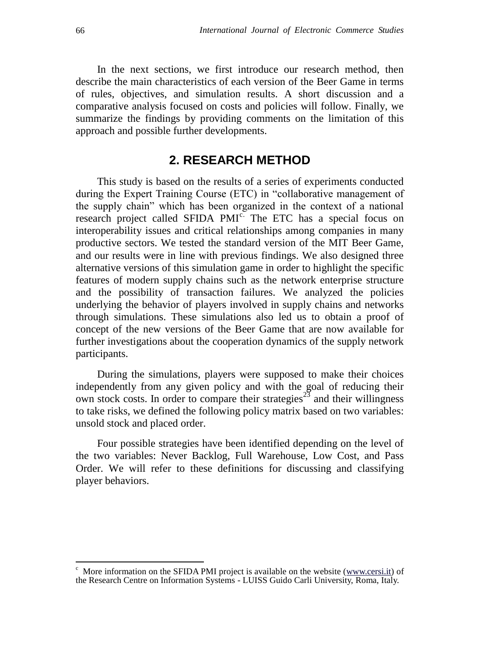In the next sections, we first introduce our research method, then describe the main characteristics of each version of the Beer Game in terms of rules, objectives, and simulation results. A short discussion and a comparative analysis focused on costs and policies will follow. Finally, we summarize the findings by providing comments on the limitation of this approach and possible further developments.

## **2. RESEARCH METHOD**

This study is based on the results of a series of experiments conducted during the Expert Training Course (ETC) in "collaborative management of the supply chain" which has been organized in the context of a national research project called SFIDA PMI<sup>c.</sup> The ETC has a special focus on interoperability issues and critical relationships among companies in many productive sectors. We tested the standard version of the MIT Beer Game, and our results were in line with previous findings. We also designed three alternative versions of this simulation game in order to highlight the specific features of modern supply chains such as the network enterprise structure and the possibility of transaction failures. We analyzed the policies underlying the behavior of players involved in supply chains and networks through simulations. These simulations also led us to obtain a proof of concept of the new versions of the Beer Game that are now available for further investigations about the cooperation dynamics of the supply network participants.

During the simulations, players were supposed to make their choices independently from any given policy and with the goal of reducing their own stock costs. In order to compare their strategies<sup>23</sup> and their willingness to take risks, we defined the following policy matrix based on two variables: unsold stock and placed order.

Four possible strategies have been identified depending on the level of the two variables: Never Backlog, Full Warehouse, Low Cost, and Pass Order. We will refer to these definitions for discussing and classifying player behaviors.

1

 $\epsilon$  More information on the SFIDA PMI project is available on the website [\(www.cersi.it\)](http://www.cersi.it/) of the Research Centre on Information Systems - LUISS Guido Carli University, Roma, Italy.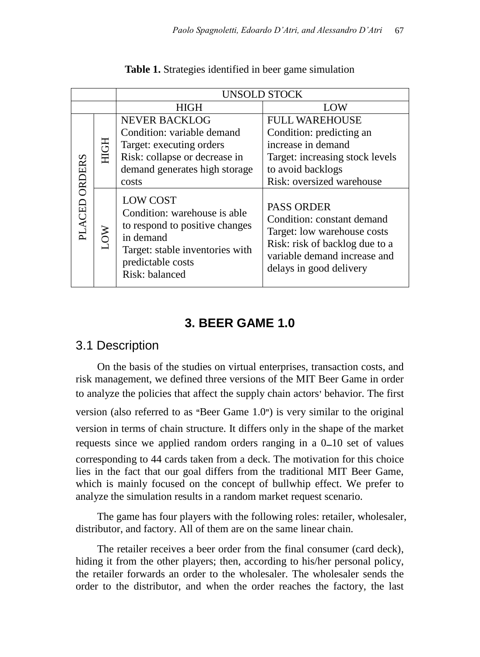|                  |             | <b>UNSOLD STOCK</b>                                                                                                                                                      |                                                                                                                                                                             |  |  |  |  |
|------------------|-------------|--------------------------------------------------------------------------------------------------------------------------------------------------------------------------|-----------------------------------------------------------------------------------------------------------------------------------------------------------------------------|--|--|--|--|
|                  |             | <b>HIGH</b>                                                                                                                                                              | LOW                                                                                                                                                                         |  |  |  |  |
| ORDERS<br>PLACED | <b>HIGH</b> | <b>NEVER BACKLOG</b>                                                                                                                                                     | <b>FULL WAREHOUSE</b>                                                                                                                                                       |  |  |  |  |
|                  |             | Condition: variable demand                                                                                                                                               | Condition: predicting an                                                                                                                                                    |  |  |  |  |
|                  |             | Target: executing orders                                                                                                                                                 | increase in demand                                                                                                                                                          |  |  |  |  |
|                  |             | Risk: collapse or decrease in                                                                                                                                            | Target: increasing stock levels                                                                                                                                             |  |  |  |  |
|                  |             | demand generates high storage                                                                                                                                            | to avoid backlogs                                                                                                                                                           |  |  |  |  |
|                  |             | costs                                                                                                                                                                    | Risk: oversized warehouse                                                                                                                                                   |  |  |  |  |
|                  | <b>NOT</b>  | <b>LOW COST</b><br>Condition: warehouse is able<br>to respond to positive changes<br>in demand<br>Target: stable inventories with<br>predictable costs<br>Risk: balanced | <b>PASS ORDER</b><br>Condition: constant demand<br>Target: low warehouse costs<br>Risk: risk of backlog due to a<br>variable demand increase and<br>delays in good delivery |  |  |  |  |

**Table 1.** Strategies identified in beer game simulation

## **3. BEER GAME 1.0**

## 3.1 Description

On the basis of the studies on virtual enterprises, transaction costs, and risk management, we defined three versions of the MIT Beer Game in order to analyze the policies that affect the supply chain actors' behavior. The first version (also referred to as "Beer Game 1.0" ) is very similar to the original version in terms of chain structure. It differs only in the shape of the market requests since we applied random orders ranging in a 0–10 set of values corresponding to 44 cards taken from a deck. The motivation for this choice lies in the fact that our goal differs from the traditional MIT Beer Game, which is mainly focused on the concept of bullwhip effect. We prefer to analyze the simulation results in a random market request scenario.

The game has four players with the following roles: retailer, wholesaler, distributor, and factory. All of them are on the same linear chain.

The retailer receives a beer order from the final consumer (card deck), hiding it from the other players; then, according to his/her personal policy, the retailer forwards an order to the wholesaler. The wholesaler sends the order to the distributor, and when the order reaches the factory, the last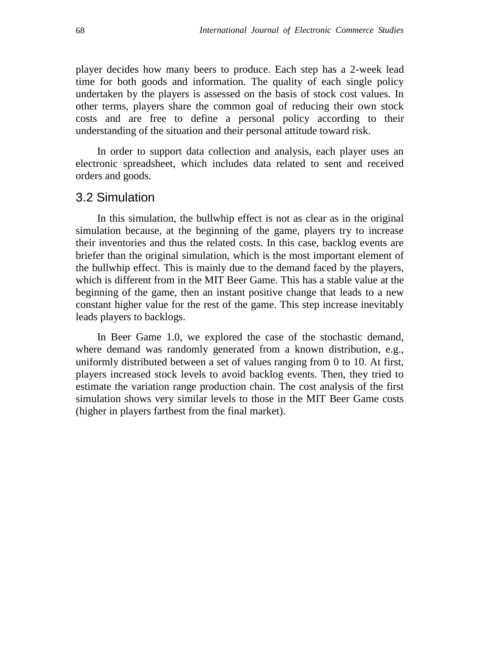player decides how many beers to produce. Each step has a 2-week lead time for both goods and information. The quality of each single policy undertaken by the players is assessed on the basis of stock cost values. In other terms, players share the common goal of reducing their own stock costs and are free to define a personal policy according to their understanding of the situation and their personal attitude toward risk.

In order to support data collection and analysis, each player uses an electronic spreadsheet, which includes data related to sent and received orders and goods.

#### 3.2 Simulation

In this simulation, the bullwhip effect is not as clear as in the original simulation because, at the beginning of the game, players try to increase their inventories and thus the related costs. In this case, backlog events are briefer than the original simulation, which is the most important element of the bullwhip effect. This is mainly due to the demand faced by the players, which is different from in the MIT Beer Game. This has a stable value at the beginning of the game, then an instant positive change that leads to a new constant higher value for the rest of the game. This step increase inevitably leads players to backlogs.

In Beer Game 1.0, we explored the case of the stochastic demand, where demand was randomly generated from a known distribution, e.g., uniformly distributed between a set of values ranging from 0 to 10. At first, players increased stock levels to avoid backlog events. Then, they tried to estimate the variation range production chain. The cost analysis of the first simulation shows very similar levels to those in the MIT Beer Game costs (higher in players farthest from the final market).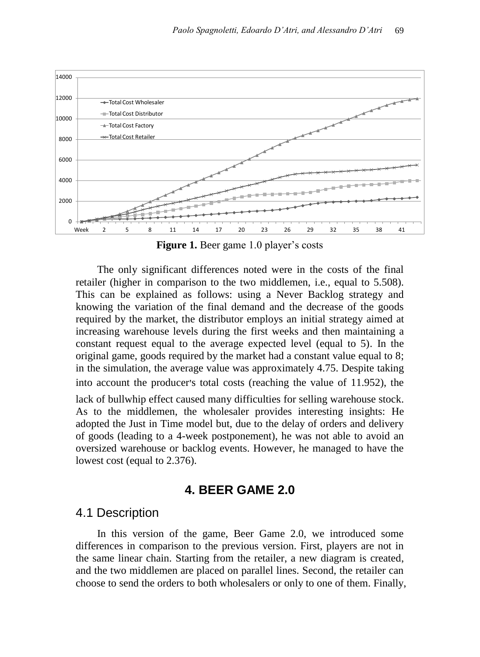

**Figure 1.** Beer game 1.0 player's costs

The only significant differences noted were in the costs of the final retailer (higher in comparison to the two middlemen, i.e., equal to 5.508). This can be explained as follows: using a Never Backlog strategy and knowing the variation of the final demand and the decrease of the goods required by the market, the distributor employs an initial strategy aimed at increasing warehouse levels during the first weeks and then maintaining a constant request equal to the average expected level (equal to 5). In the original game, goods required by the market had a constant value equal to 8; in the simulation, the average value was approximately 4.75. Despite taking into account the producer's total costs (reaching the value of 11.952), the lack of bullwhip effect caused many difficulties for selling warehouse stock. As to the middlemen, the wholesaler provides interesting insights: He adopted the Just in Time model but, due to the delay of orders and delivery of goods (leading to a 4-week postponement), he was not able to avoid an oversized warehouse or backlog events. However, he managed to have the lowest cost (equal to 2.376).

#### **4. BEER GAME 2.0**

#### 4.1 Description

In this version of the game, Beer Game 2.0, we introduced some differences in comparison to the previous version. First, players are not in the same linear chain. Starting from the retailer, a new diagram is created, and the two middlemen are placed on parallel lines. Second, the retailer can choose to send the orders to both wholesalers or only to one of them. Finally,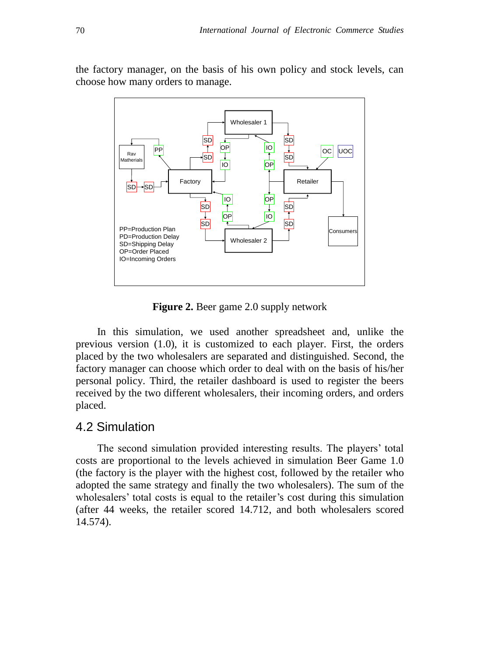

the factory manager, on the basis of his own policy and stock levels, can choose how many orders to manage.

**Figure 2.** Beer game 2.0 supply network

In this simulation, we used another spreadsheet and, unlike the previous version (1.0), it is customized to each player. First, the orders placed by the two wholesalers are separated and distinguished. Second, the factory manager can choose which order to deal with on the basis of his/her personal policy. Third, the retailer dashboard is used to register the beers received by the two different wholesalers, their incoming orders, and orders placed.

#### 4.2 Simulation

The second simulation provided interesting results. The players' total costs are proportional to the levels achieved in simulation Beer Game 1.0 (the factory is the player with the highest cost, followed by the retailer who adopted the same strategy and finally the two wholesalers). The sum of the wholesalers' total costs is equal to the retailer's cost during this simulation (after 44 weeks, the retailer scored 14.712, and both wholesalers scored 14.574).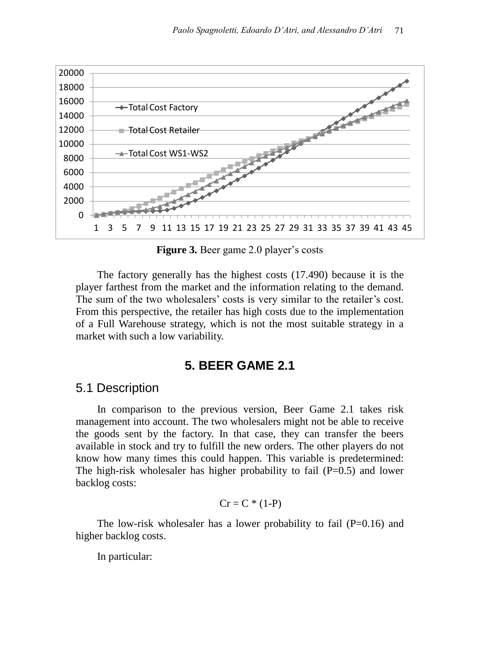

**Figure 3.** Beer game 2.0 player's costs

The factory generally has the highest costs (17.490) because it is the player farthest from the market and the information relating to the demand. The sum of the two wholesalers' costs is very similar to the retailer's cost. From this perspective, the retailer has high costs due to the implementation of a Full Warehouse strategy, which is not the most suitable strategy in a market with such a low variability.

## **5. BEER GAME 2.1**

#### 5.1 Description

In comparison to the previous version, Beer Game 2.1 takes risk management into account. The two wholesalers might not be able to receive the goods sent by the factory. In that case, they can transfer the beers available in stock and try to fulfill the new orders. The other players do not know how many times this could happen. This variable is predetermined: The high-risk wholesaler has higher probability to fail  $(P=0.5)$  and lower backlog costs:

$$
Cr = C * (1-P)
$$

The low-risk wholesaler has a lower probability to fail  $(P=0.16)$  and higher backlog costs.

In particular: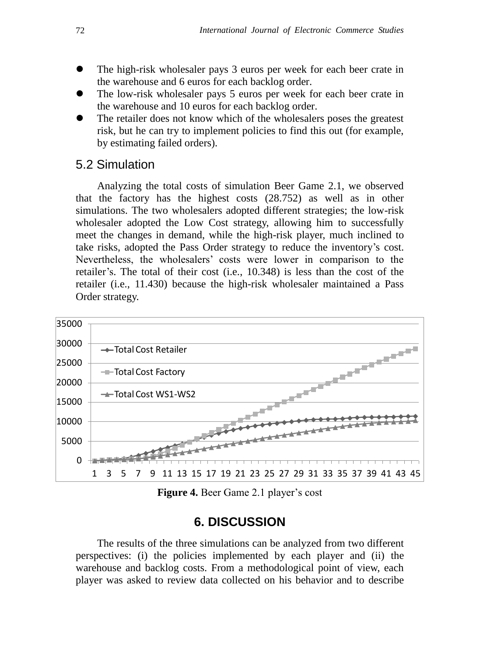- The high-risk wholesaler pays 3 euros per week for each beer crate in the warehouse and 6 euros for each backlog order.
- The low-risk wholesaler pays 5 euros per week for each beer crate in the warehouse and 10 euros for each backlog order.
- The retailer does not know which of the wholesalers poses the greatest risk, but he can try to implement policies to find this out (for example, by estimating failed orders).

## 5.2 Simulation

Analyzing the total costs of simulation Beer Game 2.1, we observed that the factory has the highest costs (28.752) as well as in other simulations. The two wholesalers adopted different strategies; the low-risk wholesaler adopted the Low Cost strategy, allowing him to successfully meet the changes in demand, while the high-risk player, much inclined to take risks, adopted the Pass Order strategy to reduce the inventory's cost. Nevertheless, the wholesalers' costs were lower in comparison to the retailer's. The total of their cost (i.e., 10.348) is less than the cost of the retailer (i.e., 11.430) because the high-risk wholesaler maintained a Pass Order strategy.



**Figure 4.** Beer Game 2.1 player's cost

## **6. DISCUSSION**

The results of the three simulations can be analyzed from two different perspectives: (i) the policies implemented by each player and (ii) the warehouse and backlog costs. From a methodological point of view, each player was asked to review data collected on his behavior and to describe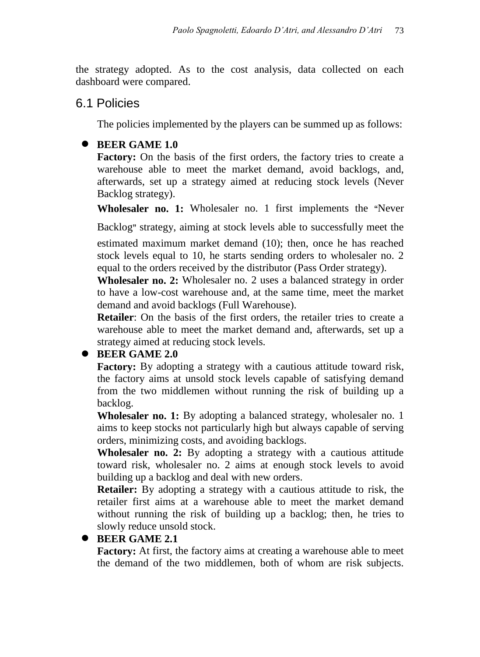the strategy adopted. As to the cost analysis, data collected on each dashboard were compared.

## 6.1 Policies

The policies implemented by the players can be summed up as follows:

## **BEER GAME 1.0**

**Factory:** On the basis of the first orders, the factory tries to create a warehouse able to meet the market demand, avoid backlogs, and, afterwards, set up a strategy aimed at reducing stock levels (Never Backlog strategy).

**Wholesaler no. 1:** Wholesaler no. 1 first implements the "Never

Backlog" strategy, aiming at stock levels able to successfully meet the

estimated maximum market demand (10); then, once he has reached stock levels equal to 10, he starts sending orders to wholesaler no. 2 equal to the orders received by the distributor (Pass Order strategy).

**Wholesaler no. 2:** Wholesaler no. 2 uses a balanced strategy in order to have a low-cost warehouse and, at the same time, meet the market demand and avoid backlogs (Full Warehouse).

**Retailer**: On the basis of the first orders, the retailer tries to create a warehouse able to meet the market demand and, afterwards, set up a strategy aimed at reducing stock levels.

## **• BEER GAME 2.0**

**Factory:** By adopting a strategy with a cautious attitude toward risk, the factory aims at unsold stock levels capable of satisfying demand from the two middlemen without running the risk of building up a backlog.

**Wholesaler no. 1:** By adopting a balanced strategy, wholesaler no. 1 aims to keep stocks not particularly high but always capable of serving orders, minimizing costs, and avoiding backlogs.

**Wholesaler no. 2:** By adopting a strategy with a cautious attitude toward risk, wholesaler no. 2 aims at enough stock levels to avoid building up a backlog and deal with new orders.

**Retailer:** By adopting a strategy with a cautious attitude to risk, the retailer first aims at a warehouse able to meet the market demand without running the risk of building up a backlog; then, he tries to slowly reduce unsold stock.

## **BEER GAME 2.1**

**Factory:** At first, the factory aims at creating a warehouse able to meet the demand of the two middlemen, both of whom are risk subjects.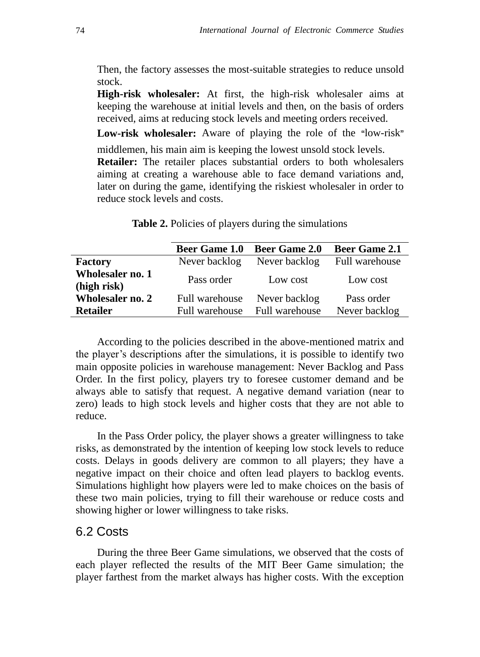Then, the factory assesses the most-suitable strategies to reduce unsold stock.

**High-risk wholesaler:** At first, the high-risk wholesaler aims at keeping the warehouse at initial levels and then, on the basis of orders received, aims at reducing stock levels and meeting orders received.

**Low-risk wholesaler:** Aware of playing the role of the " low-risk"

middlemen, his main aim is keeping the lowest unsold stock levels. **Retailer:** The retailer places substantial orders to both wholesalers aiming at creating a warehouse able to face demand variations and, later on during the game, identifying the riskiest wholesaler in order to reduce stock levels and costs.

|                                        | <b>Beer Game 1.0</b> | <b>Beer Game 2.0</b> | <b>Beer Game 2.1</b> |
|----------------------------------------|----------------------|----------------------|----------------------|
| <b>Factory</b>                         | Never backlog        | Never backlog        | Full warehouse       |
| <b>Wholesaler no. 1</b><br>(high risk) | Pass order           | Low cost             | Low cost             |
| <b>Wholesaler no. 2</b>                | Full warehouse       | Never backlog        | Pass order           |
| <b>Retailer</b>                        | Full warehouse       | Full warehouse       | Never backlog        |

Table 2. Policies of players during the simulations

According to the policies described in the above-mentioned matrix and the player's descriptions after the simulations, it is possible to identify two main opposite policies in warehouse management: Never Backlog and Pass Order. In the first policy, players try to foresee customer demand and be always able to satisfy that request. A negative demand variation (near to zero) leads to high stock levels and higher costs that they are not able to reduce.

In the Pass Order policy, the player shows a greater willingness to take risks, as demonstrated by the intention of keeping low stock levels to reduce costs. Delays in goods delivery are common to all players; they have a negative impact on their choice and often lead players to backlog events. Simulations highlight how players were led to make choices on the basis of these two main policies, trying to fill their warehouse or reduce costs and showing higher or lower willingness to take risks.

#### 6.2 Costs

During the three Beer Game simulations, we observed that the costs of each player reflected the results of the MIT Beer Game simulation; the player farthest from the market always has higher costs. With the exception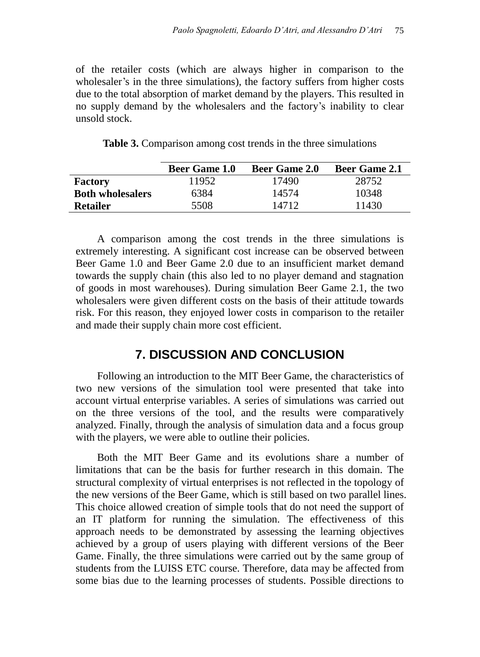of the retailer costs (which are always higher in comparison to the wholesaler's in the three simulations), the factory suffers from higher costs due to the total absorption of market demand by the players. This resulted in no supply demand by the wholesalers and the factory's inability to clear unsold stock.

| <b>Table 3.</b> Comparison among cost trends in the three simulations |
|-----------------------------------------------------------------------|
|-----------------------------------------------------------------------|

|                         | <b>Beer Game 1.0</b> | <b>Beer Game 2.0</b> | <b>Beer Game 2.1</b> |
|-------------------------|----------------------|----------------------|----------------------|
| <b>Factory</b>          | 11952                | 17490                | 28752                |
| <b>Both wholesalers</b> | 6384                 | 14574                | 10348                |
| <b>Retailer</b>         | 5508                 | 14712                | 11430                |

A comparison among the cost trends in the three simulations is extremely interesting. A significant cost increase can be observed between Beer Game 1.0 and Beer Game 2.0 due to an insufficient market demand towards the supply chain (this also led to no player demand and stagnation of goods in most warehouses). During simulation Beer Game 2.1, the two wholesalers were given different costs on the basis of their attitude towards risk. For this reason, they enjoyed lower costs in comparison to the retailer and made their supply chain more cost efficient.

## **7. DISCUSSION AND CONCLUSION**

Following an introduction to the MIT Beer Game, the characteristics of two new versions of the simulation tool were presented that take into account virtual enterprise variables. A series of simulations was carried out on the three versions of the tool, and the results were comparatively analyzed. Finally, through the analysis of simulation data and a focus group with the players, we were able to outline their policies.

Both the MIT Beer Game and its evolutions share a number of limitations that can be the basis for further research in this domain. The structural complexity of virtual enterprises is not reflected in the topology of the new versions of the Beer Game, which is still based on two parallel lines. This choice allowed creation of simple tools that do not need the support of an IT platform for running the simulation. The effectiveness of this approach needs to be demonstrated by assessing the learning objectives achieved by a group of users playing with different versions of the Beer Game. Finally, the three simulations were carried out by the same group of students from the LUISS ETC course. Therefore, data may be affected from some bias due to the learning processes of students. Possible directions to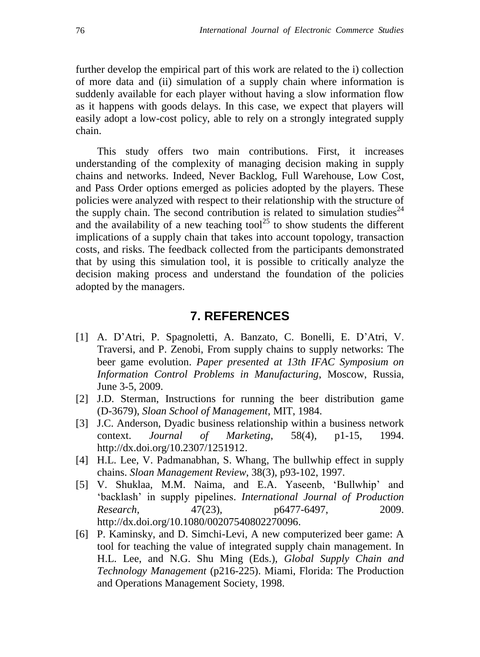further develop the empirical part of this work are related to the i) collection of more data and (ii) simulation of a supply chain where information is suddenly available for each player without having a slow information flow as it happens with goods delays. In this case, we expect that players will easily adopt a low-cost policy, able to rely on a strongly integrated supply chain.

This study offers two main contributions. First, it increases understanding of the complexity of managing decision making in supply chains and networks. Indeed, Never Backlog, Full Warehouse, Low Cost, and Pass Order options emerged as policies adopted by the players. These policies were analyzed with respect to their relationship with the structure of the supply chain. The second contribution is related to simulation studies<sup> $24$ </sup> and the availability of a new teaching tool<sup>25</sup> to show students the different implications of a supply chain that takes into account topology, transaction costs, and risks. The feedback collected from the participants demonstrated that by using this simulation tool, it is possible to critically analyze the decision making process and understand the foundation of the policies adopted by the managers.

#### **7. REFERENCES**

- [1] A. D'Atri, P. Spagnoletti, A. Banzato, C. Bonelli, E. D'Atri, V. Traversi, and P. Zenobi, From supply chains to supply networks: The beer game evolution. *Paper presented at 13th IFAC Symposium on Information Control Problems in Manufacturing*, Moscow, Russia, June 3-5, 2009.
- [2] J.D. Sterman, Instructions for running the beer distribution game (D-3679), *Sloan School of Management*, MIT, 1984.
- [3] J.C. Anderson, Dyadic business relationship within a business network context. *Journal of Marketing*, 58(4), p1-15, 1994. [http://dx.doi.org/10.2307/1251912.](http://dx.doi.org/10.2307%2F1251912)
- [4] H.L. Lee, V. Padmanabhan, S. Whang, The bullwhip effect in supply chains. *Sloan Management Review*, 38(3), p93-102, 1997.
- [5] V. Shuklaa, M.M. Naima, and E.A. Yaseenb, 'Bullwhip' and 'backlash' in supply pipelines. *International Journal of Production Research*, 47(23), p6477-6497, 2009. [http://dx.doi.org/10.1080/00207540802270096.](http://dx.doi.org/10.1080%2F00207540802270096)
- [6] P. Kaminsky, and D. Simchi-Levi, A new computerized beer game: A tool for teaching the value of integrated supply chain management. In H.L. Lee, and N.G. Shu Ming (Eds.), *Global Supply Chain and Technology Management* (p216-225). Miami, Florida: The Production and Operations Management Society, 1998.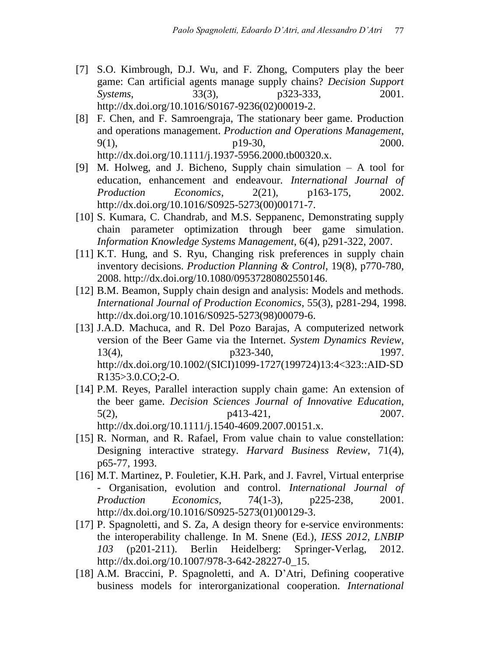- [7] S.O. Kimbrough, D.J. Wu, and F. Zhong, Computers play the beer game: Can artificial agents manage supply chains? *Decision Support Systems*, 33(3), p323-333, 2001. [http://dx.doi.org/10.1016/S0167-9236\(02\)00019-2.](http://dx.doi.org/10.1016%2FS0167-9236%2802%2900019-2)
- [8] F. Chen, and F. Samroengraja, The stationary beer game. Production and operations management. *Production and Operations Management*,  $9(1)$ ,  $p19-30$ ,  $2000$ . [http://dx.doi.org/10.1111/j.1937-5956.2000.tb00320.x.](http://dx.doi.org/10.1111%2Fj.1937-5956.2000.tb00320.x)
- [9] M. Holweg, and J. Bicheno, Supply chain simulation A tool for education, enhancement and endeavour*. International Journal of Production Economics*, 2(21), p163-175, 2002. [http://dx.doi.org/10.1016/S0925-5273\(00\)00171-7.](http://dx.doi.org/10.1016%2FS0925-5273%2800%2900171-7)
- [10] S. Kumara, C. Chandrab, and M.S. Seppanenc, Demonstrating supply chain parameter optimization through beer game simulation. *Information Knowledge Systems Management*, 6(4), p291-322, 2007.
- [11] K.T. Hung, and S. Ryu, Changing risk preferences in supply chain inventory decisions. *Production Planning & Control*, 19(8), p770-780, 2008. [http://dx.doi.org/10.1080/09537280802550146.](http://dx.doi.org/10.1080%2F09537280802550146)
- [12] B.M. Beamon, Supply chain design and analysis: Models and methods. *International Journal of Production Economics*, 55(3), p281-294, 1998. [http://dx.doi.org/10.1016/S0925-5273\(98\)00079-6.](http://dx.doi.org/10.1016%2FS0925-5273%2898%2900079-6)
- [13] J.A.D. Machuca, and R. Del Pozo Barajas, A computerized network version of the Beer Game via the Internet. *System Dynamics Review*, 13(4), p323-340, p323-340, 1997. [http://dx.doi.org/10.1002/\(SICI\)1099-1727\(199724\)13:4<323::AID-SD](http://dx.doi.org/10.1002%2F%28SICI%291099-1727%28199724%2913%3A4%3C323%3A%3AAID-SDR135%3E3.0.CO%3B2-O) [R135>3.0.CO;2-O.](http://dx.doi.org/10.1002%2F%28SICI%291099-1727%28199724%2913%3A4%3C323%3A%3AAID-SDR135%3E3.0.CO%3B2-O)
- [14] P.M. Reyes, Parallel interaction supply chain game: An extension of the beer game. *Decision Sciences Journal of Innovative Education*, 5(2), p413-421, 2007. [http://dx.doi.org/10.1111/j.1540-4609.2007.00151.x.](http://dx.doi.org/10.1111%2Fj.1540-4609.2007.00151.x)
- [15] R. Norman, and R. Rafael, From value chain to value constellation: Designing interactive strategy. *Harvard Business Review*, 71(4), p65-77, 1993.
- [16] M.T. Martinez, P. Fouletier, K.H. Park, and J. Favrel, Virtual enterprise - Organisation, evolution and control. *International Journal of Production Economics*, 74(1-3), p225-238, 2001. [http://dx.doi.org/10.1016/S0925-5273\(01\)00129-3.](http://dx.doi.org/10.1016%2FS0925-5273%2801%2900129-3)
- [17] P. Spagnoletti, and S. Za, A design theory for e-service environments: the interoperability challenge. In M. Snene (Ed.), *IESS 2012, LNBIP 103* (p201-211). Berlin Heidelberg: Springer-Verlag, 2012. [http://dx.doi.org/10.1007/978-3-642-28227-0\\_15.](http://dx.doi.org/10.1007%2F978-3-642-28227-0_15)
- [18] A.M. Braccini, P. Spagnoletti, and A. D'Atri, Defining cooperative business models for interorganizational cooperation. *International*